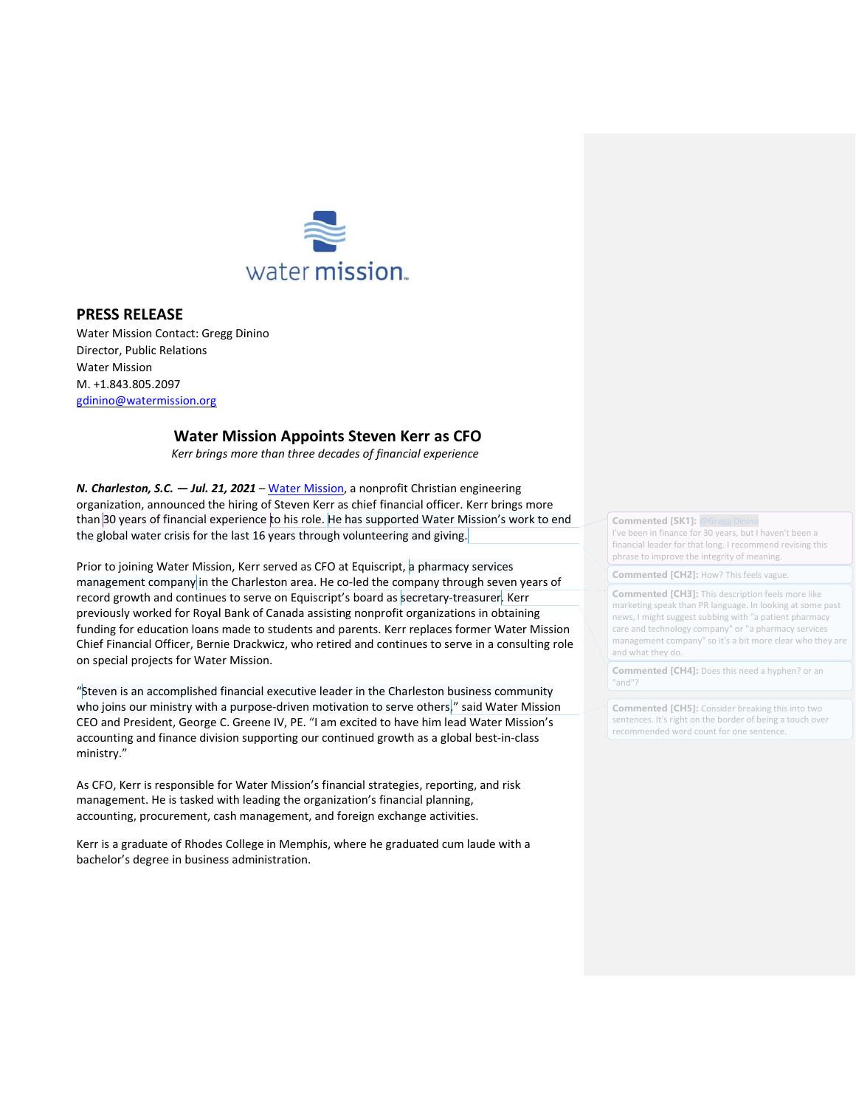

## **PRESS RELEASE**

Water Mission Contact: Gregg Dinino Director, Public Relations Water Mission M. +1.843.805.2097 [gdinino@watermission.org](mailto:gdinino@watermission.org)

## **Water Mission Appoints Steven Kerr as CFO**

*Kerr brings more than three decades of financial experience*

*N. Charleston, S.C. — Jul. 21, 2021 –* [Water Mission,](http://watermission.org/) a nonprofit Christian engineering organization, announced the hiring of Steven Kerr as chief financial officer. Kerr brings more than 30 years of financial experience to his role. He has supported Water Mission's work to end the global water crisis for the last 16 years through volunteering and giving.

Prior to joining Water Mission, Kerr served as CFO at Equiscript, a pharmacy services management company in the Charleston area. He co-led the company through seven years of record growth and continues to serve on Equiscript's board as secretary-treasurer. Kerr previously worked for Royal Bank of Canada assisting nonprofit organizations in obtaining funding for education loans made to students and parents. Kerr replaces former Water Mission Chief Financial Officer, Bernie Drackwicz, who retired and continues to serve in a consulting role on special projects for Water Mission.

"Steven is an accomplished financial executive leader in the Charleston business community who joins our ministry with a purpose-driven motivation to serve others," said Water Mission CEO and President, George C. Greene IV, PE. "I am excited to have him lead Water Mission's accounting and finance division supporting our continued growth as a global best-in-class ministry."

As CFO, Kerr is responsible for Water Mission's financial strategies, reporting, and risk management. He is tasked with leading the organization's financial planning, accounting, procurement, cash management, and foreign exchange activities.

Kerr is a graduate of Rhodes College in Memphis, where he graduated cum laude with a bachelor's degree in business administration.

**Commented [SK1]: @G** I've been in finance for 30 years, but I haven't been a financial leader for that long. I recommend revising this phrase to improve the integrity of meaning.

**Commented [CH2]:** How? This feels vague.

**Commented [CH3]:** This description feels more like marketing speak than PR language. In looking at some past news, I might suggest subbing with "a patient pharmacy care and technology company" or "a pharmacy services management company" so it's a bit more clear who they are and what they do.

**Commented [CH4]:** Does this need a hyphen? or an "and"?

**Commented [CH5]:** Consider breaking this into two sentences. It's right on the border of being a touch over recommended word count for one sentence.